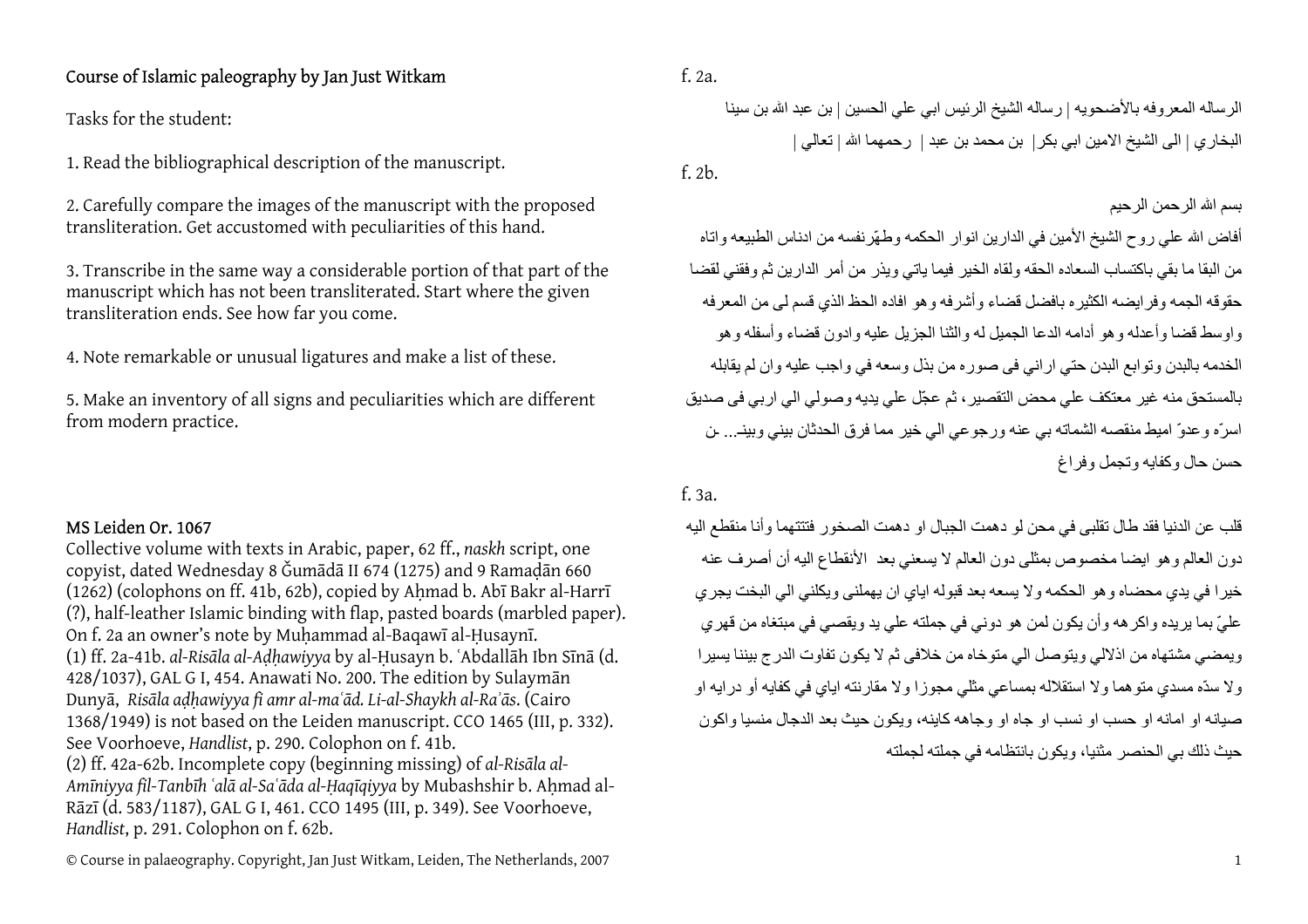## Course of Islamic paleography by Jan Just Witkam

Tasks for the student:

1. Read the bibliographical description of the manuscript.

2. Carefully compare the images of the manuscript with the proposed transliteration. Get accustomed with peculiarities of this hand.

3. Transcribe in the same way a considerable portion of that part of the manuscript which has not been transliterated. Start where the given transliteration ends. See how far you come.

4. Note remarkable or unusual ligatures and make a list of these.

5. Make an inventory of all signs and peculiarities which are different from modern practice.

## MS Leiden Or. 1067

Collective volume with texts in Arabic, paper, 62 ff., *naskh* script, one copyist, dated Wednesday 8 Ǧumādā II 674 (1275) and 9 Ramaḍān 660 (1262) (colophons on ff. 41b, 62b), copied by Ahmad b. Abī Bakr al-Harrī (?), half-leather Islamic binding with flap, pasted boards (marbled paper). On f. 2a an owner's note by Muḥammad al-Baqawī al-Ḥusaynī. (1) ff. 2a-41b. *al-Risāla al-Aḍḥawiyya* by al-Ḥusayn b. ʿAbdallāh Ibn Sīnā (d. 428/1037), GAL G I, 454. Anawati No. 200. The edition by Sulaym<sup>ā</sup><sup>n</sup> Dunyā, *Risāla aḍḥawiyya fi amr al-maʿād. Li-al-Shaykh al-Raʾās*. (Cairo 1368/1949) is not based on the Leiden manuscript. CCO 1465 (III, p. 332). See Voorhoeve, *Handlist*, p. 290. Colophon on f. 41b. (2) ff. 42a-62b. Incomplete copy (beginning missing) of *al-Risāla al-Amīniyya fil-Tanbīh ʿalā al-Saʿāda al-Ḥaqīqiyya* by Mubashshir b. Aḥmad al-<sup>R</sup>āz<sup>ī</sup> (d. 583/1187), GAL G I, 461. CCO 1495 (III, p. 349). See Voorhoeve, *Handlist*, p. 291. Colophon on f. 62b.

الرساله المعروفه بالأضحويه | رساله الشيخ الرئيس ابي علي الحسين | بن عبد االله بن سينا البخاري | الى الشيخ الامين ابي بكر| بن محمد بن عبد | رحمهما االله | تعالي | f. 2b.

## بسم االله الرحمن الرحيم

أفاض الله علي روح الشيخ الأمين في الدارين انوار الحكمه وطهّرنفسه من ادناس الطبيعه واتاه من البقا ما بقي باكتساب السعاده الحقه ولقاه الخير فيما ياتي ويذر من أمر الدار ين ثم و فقني لقضا حقوقه الجمه وفرايضه الكثيره بافضل قضاء وأشرفه وهو افاده الحظ الذي قسم لى من المعرفه واوسط قضا وأعدله وهو أدامه الدعا الجميل له والثنا الجزيل عليه وادون قضاء وأسفله وهو الخدمه بالبدن وتوابع البدن حتي اراني فى صوره من بذل وسعه في واجب عليه وان لم يقابله بالمستحق منه غير معتكف علي محض التقصير، ثم عجّل علي يديه وصولي الي اربي فى صديق اسرّه وعدوّ اميط منقصه الشماته بي عنه ورجوعي الي خير مما فرق الحدثان بيني وبينـ... ـن حسن حال و کفايه و تجمل و فر اغ

## f. 3a.

قلب عن الدنيا فقد طال تقلبى في محن لو دهمت الجبال او دهمت الصخور فتتتهما وأنا منقطع اليه دون العالم وهو ايضا مخصوص بمثلى دون العالم لا يسعني بعد الأنقطاع اليه أن أصرف عنه خيرا في يدي محضاه وهو الحكمه ولا يسعه بعد قبوله اياي ان يهملنى ويكلني الي البخت يجري عليّ بما يريده واكر هه وأن يكون لمن هو دوني في جملته علي يد ويقصىي في مبتغاه من قهري ويمضي مشتهاه من اذلالي ويتوصل الي متوخاه من خلافى ثم لا يكون تفاوت الدرج بيننا يسيرا ولا سدّه مسدي متو هما ولا استقلاله بمساعي مثلي مجوزا ولا مقارنته اياي في كفايه أو درايه او صيانه او امانه او حسب او نسب او جاه او وجاهه كاينه، ويكون حيث بعد الدجال منسيا واكون حيث ذلك بي الحنصر مثنيا، ويكون بانتظامه في جملته لجملته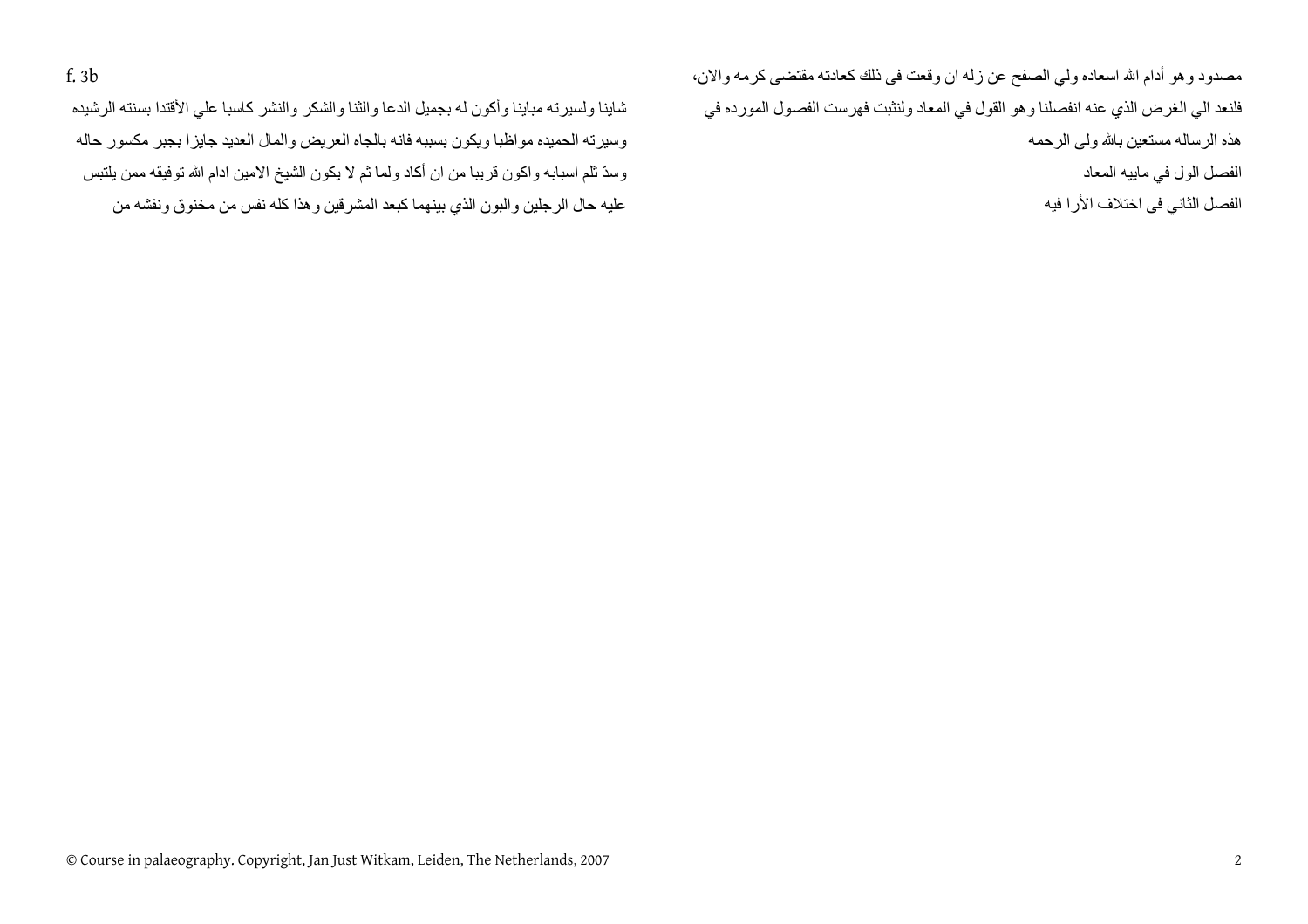مصدود وهو أدام الله اسعاده ولي الصفح عن زله ان وقعت في ذلك كعادته مقتضىي كرمه والان، فلنعد الي الغرض الذي عنه انفصلنا وهو القول في المعاد ولنثبت فهرست الفصول المورده في هذه الرساله مستعين باالله ولى الرحمه الفصل الول في ماييه المعاد

الفصل الثاني فى اختلاف الأرا فيه

شاينا ولسيرته مباينا وأكون له بجميل الدعا والثنا والشكر والنشر كاسبا على الأقتدا بسنته الرشيده وسيرته الحميده مواظبا ويكون بسببه فانه بالجاه العريض والمال العديد جايزا بجبر مكسور حاله وسدّ ثلم اسبابه واكون قريبا من ان أكاد ولما ثم لا يكون الشيخ الامين ادام الله توفيقه ممن يلتبس عليه حال الرجلين والبون الذي بينهما كبعد المشرقين وهذا كله نفس من مخنوق ونفشه من

f. 3b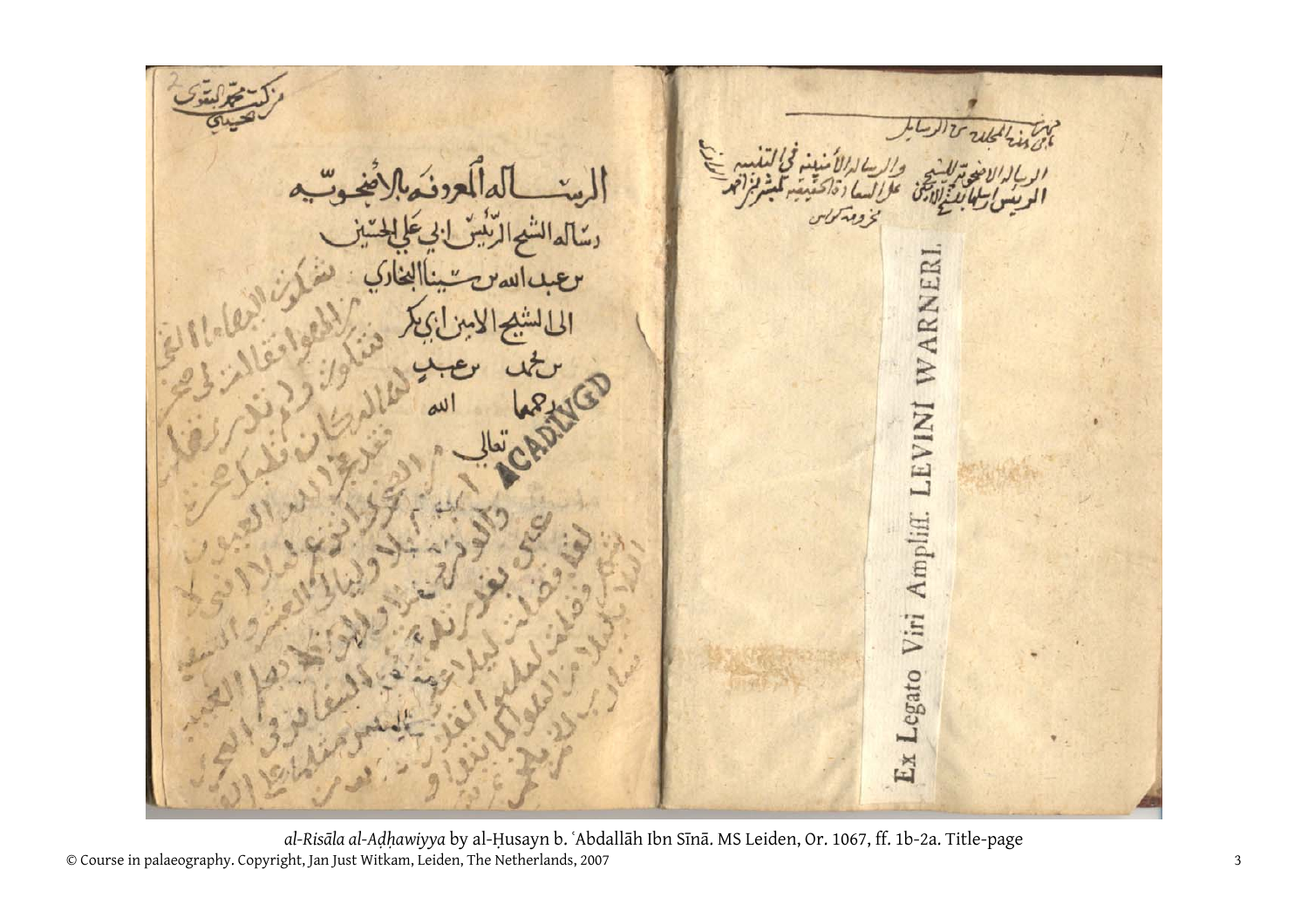WARNER LEVINI Legato Viri Ampliff. Ex

© Course in palaeography. Copyright, Jan Just Witkam, Leiden, The Netherlands, 2007 <sup>3</sup> *al-Risāla al-Aḍḥawiyya* by al-Ḥusayn b. ʿAbdallāh Ibn Sīn<sup>ā</sup>. MS Leiden, Or. 1067, ff. 1b-2a. Title-page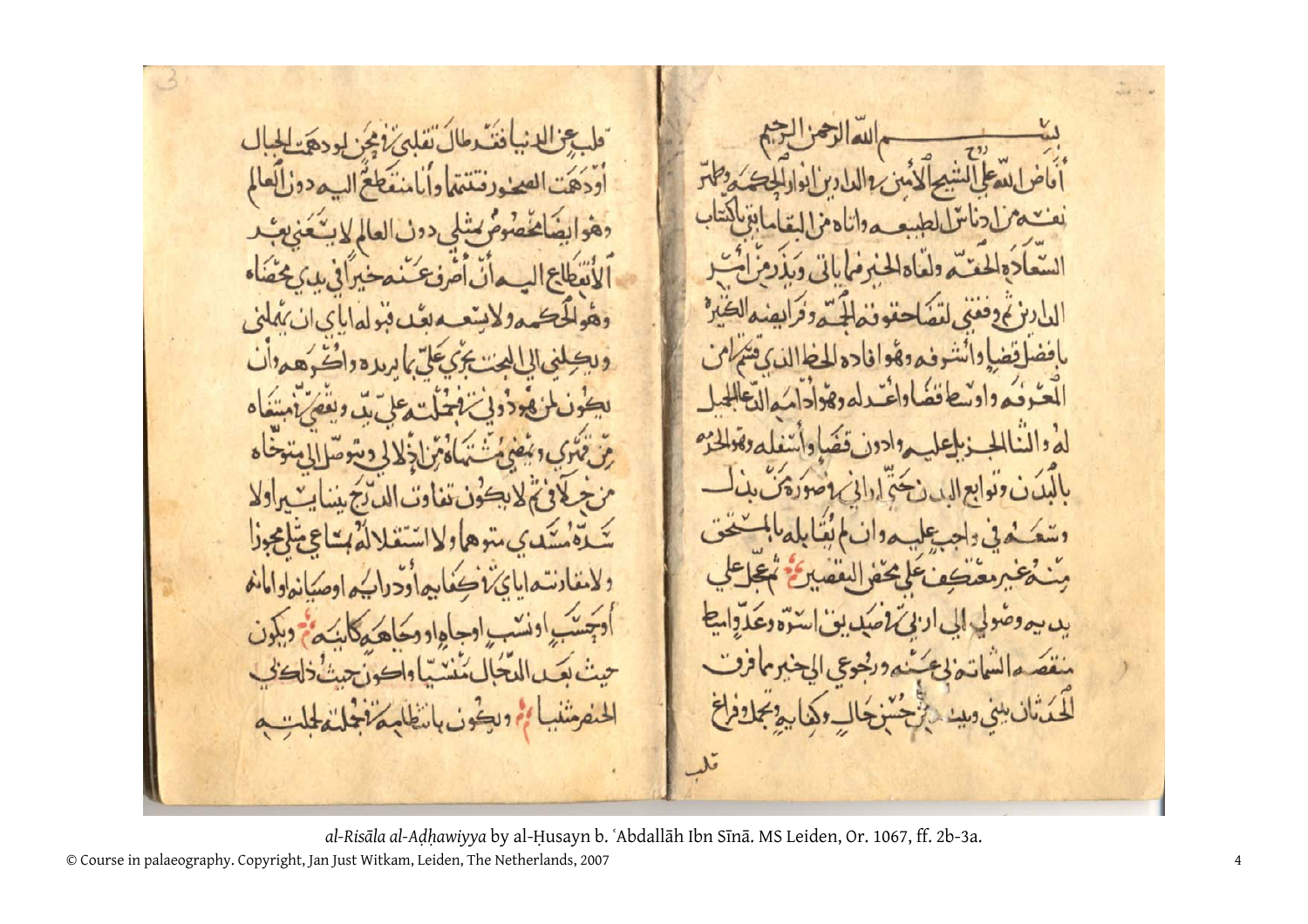$\cdot$   $\sim$  $.3.19$  $\delta$  $\mathbf{y}_5$  $Y_1$   $\infty$  $\theta$ e ينقص  $\epsilon$ e مندورد لحنفضه

*al-Risāla al-Aḍḥawiyya* by al-Ḥusayn b. ʿAbdallāh Ibn Sīnā. MS Leiden, Or. 1067, ff. 2b-3a.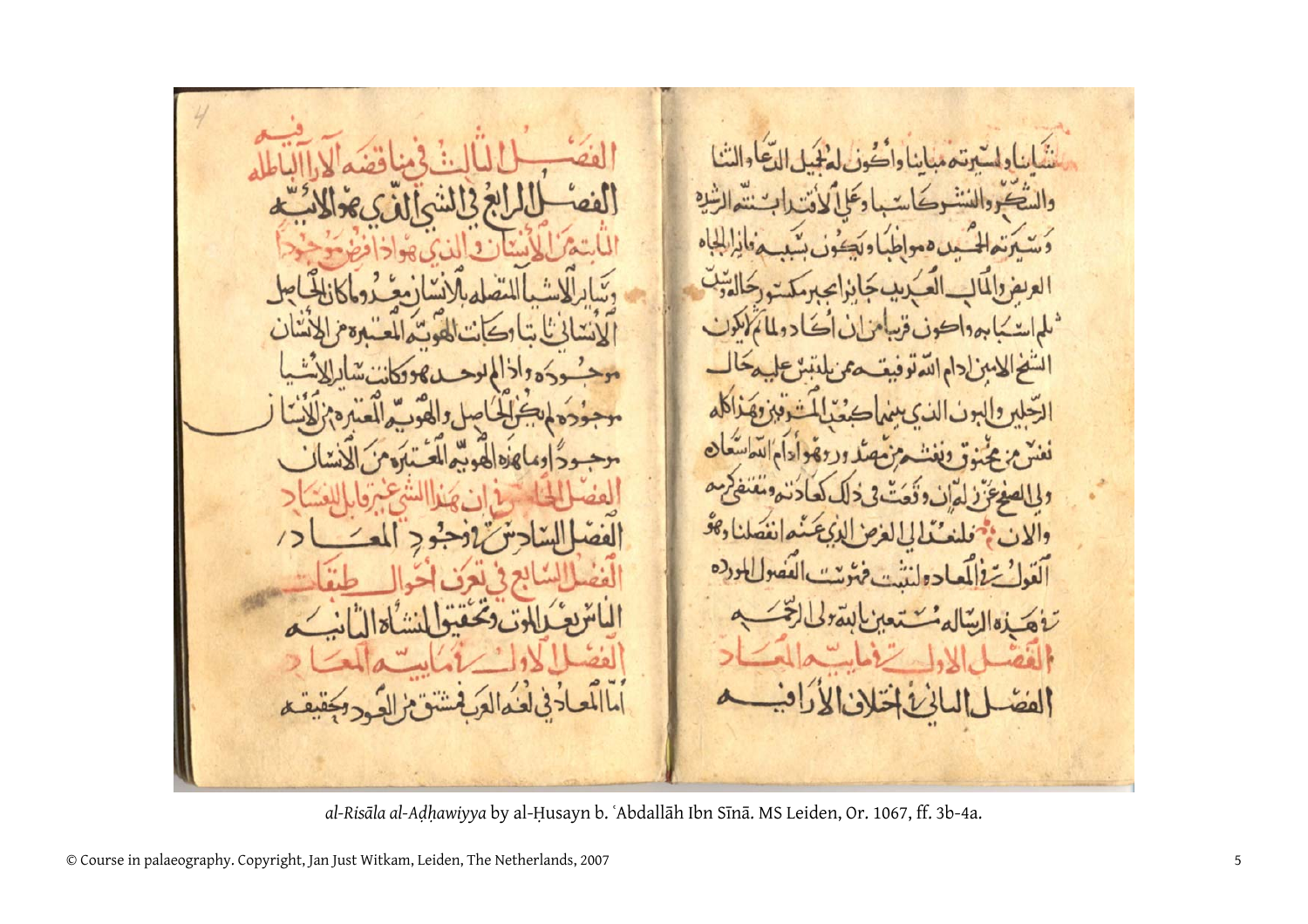َىلم S  $\overline{\mathbf{y}}$ 

*al-Risāla al-Aḍḥawiyya* by al-Ḥusayn b. ʿAbdallāh Ibn Sīnā. MS Leiden, Or. 1067, ff. 3b-4a.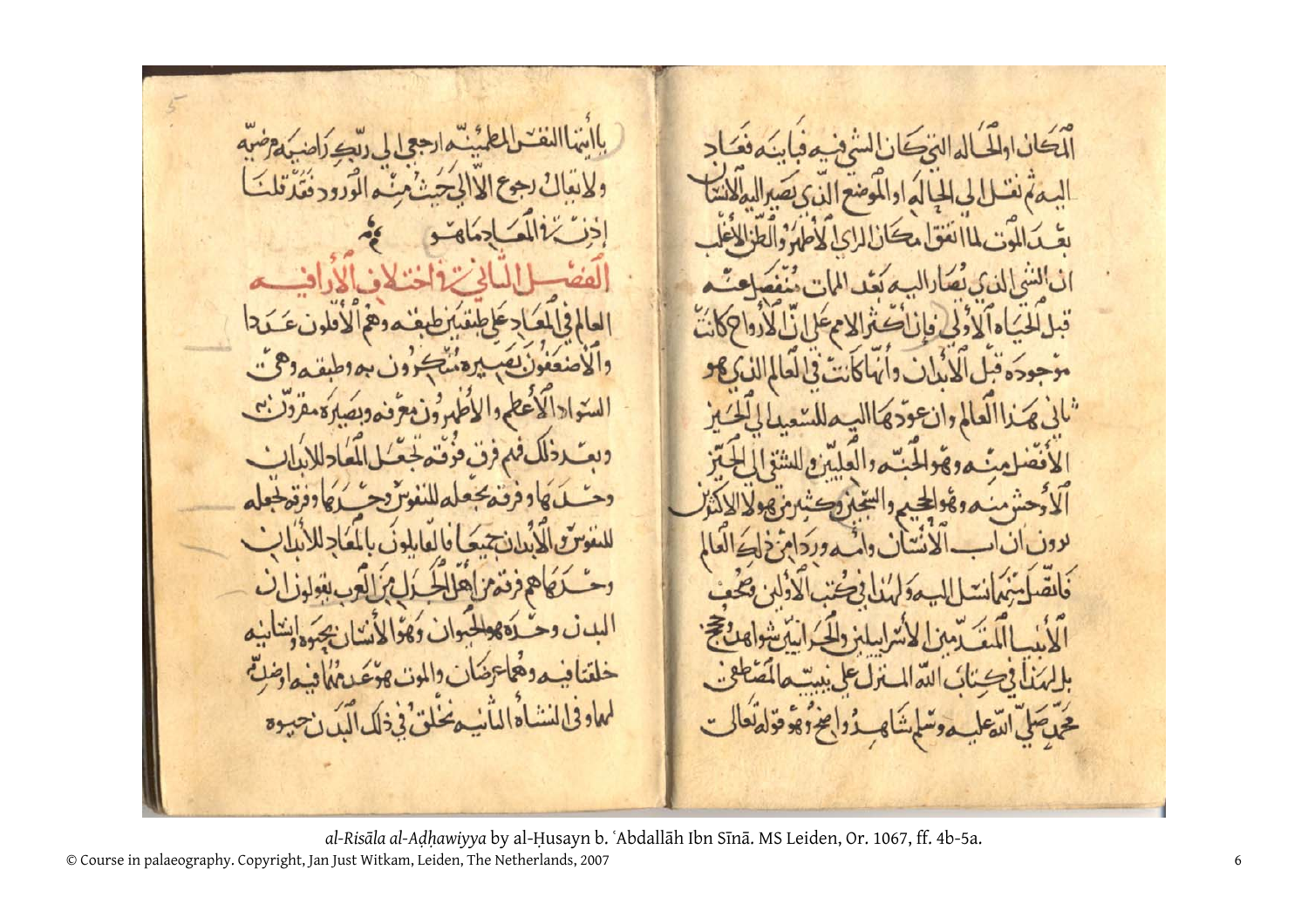أأيتكأ  $\ddot{\phantom{1}}$ قبا  $.45$ UL Le **SK** موجو  $rac{1}{2}$ لمعاوفي  $\omega$  $89$ 

*al-Risāla al-Aḍḥawiyya* by al-Ḥusayn b. ʿAbdallāh Ibn Sīnā. MS Leiden, Or. 1067, ff. 4b-5a.